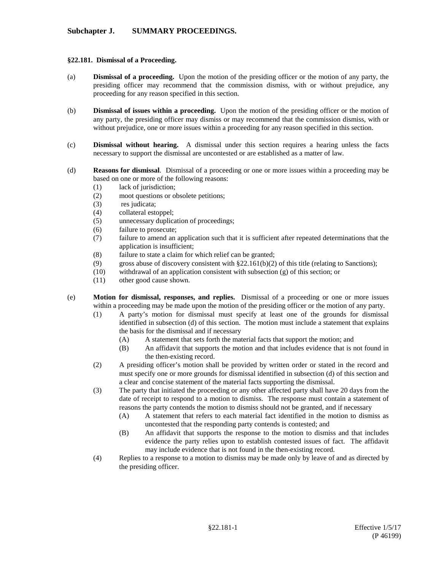## **§22.181. Dismissal of a Proceeding.**

- (a) **Dismissal of a proceeding.** Upon the motion of the presiding officer or the motion of any party, the presiding officer may recommend that the commission dismiss, with or without prejudice, any proceeding for any reason specified in this section.
- (b) **Dismissal of issues within a proceeding.** Upon the motion of the presiding officer or the motion of any party, the presiding officer may dismiss or may recommend that the commission dismiss, with or without prejudice, one or more issues within a proceeding for any reason specified in this section.
- (c) **Dismissal without hearing.** A dismissal under this section requires a hearing unless the facts necessary to support the dismissal are uncontested or are established as a matter of law.
- (d) **Reasons for dismissal**. Dismissal of a proceeding or one or more issues within a proceeding may be based on one or more of the following reasons:
	- (1) lack of jurisdiction;
	- (2) moot questions or obsolete petitions;
	- (3) res judicata;
	- (4) collateral estoppel;
	- (5) unnecessary duplication of proceedings;
	- (6) failure to prosecute;
	- (7) failure to amend an application such that it is sufficient after repeated determinations that the application is insufficient;
	- (8) failure to state a claim for which relief can be granted;
	- (9) gross abuse of discovery consistent with  $\S 22.161(b)(2)$  of this title (relating to Sanctions);
	- (10) withdrawal of an application consistent with subsection (g) of this section; or
	- (11) other good cause shown.
- (e) **Motion for dismissal, responses, and replies.** Dismissal of a proceeding or one or more issues within a proceeding may be made upon the motion of the presiding officer or the motion of any party.
	- (1) A party's motion for dismissal must specify at least one of the grounds for dismissal identified in subsection (d) of this section. The motion must include a statement that explains the basis for the dismissal and if necessary
		- (A) A statement that sets forth the material facts that support the motion; and
		- (B) An affidavit that supports the motion and that includes evidence that is not found in the then-existing record.
	- (2) A presiding officer's motion shall be provided by written order or stated in the record and must specify one or more grounds for dismissal identified in subsection (d) of this section and a clear and concise statement of the material facts supporting the dismissal.
	- (3) The party that initiated the proceeding or any other affected party shall have 20 days from the date of receipt to respond to a motion to dismiss. The response must contain a statement of reasons the party contends the motion to dismiss should not be granted, and if necessary
		- (A) A statement that refers to each material fact identified in the motion to dismiss as uncontested that the responding party contends is contested; and
		- (B) An affidavit that supports the response to the motion to dismiss and that includes evidence the party relies upon to establish contested issues of fact. The affidavit may include evidence that is not found in the then-existing record.
	- (4) Replies to a response to a motion to dismiss may be made only by leave of and as directed by the presiding officer.